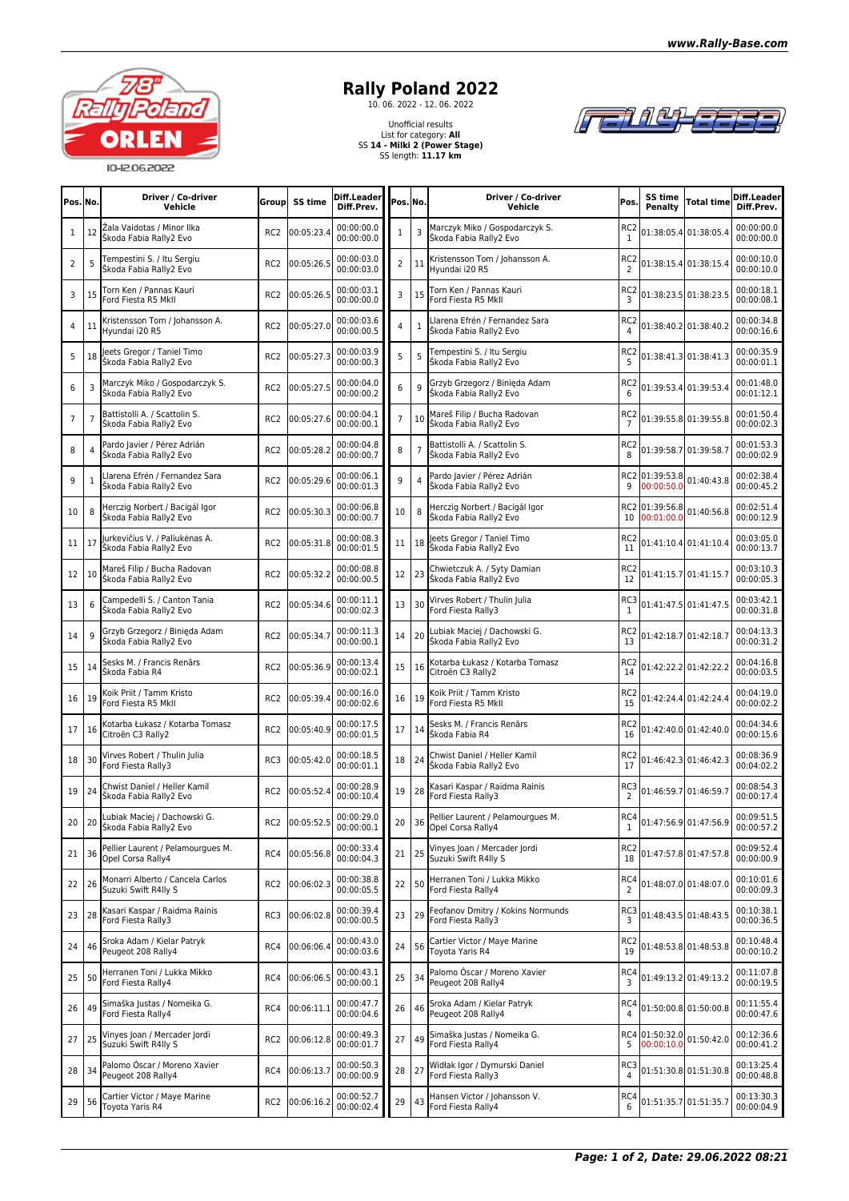

## **Rally Poland 2022**<br>
10. 06. 2022 - 12. 06. 2022

Unofficial results List for category: **All** SS **14 - Milki 2 (Power Stage)** SS length: **11.17 km**



| Pos. No.       |    | Driver / Co-driver<br>Vehicle                            | Group           | SS time        | Diff.Leader<br>Diff.Prev. | Pos. No.       |                | Driver / Co-driver<br>Vehicle                            | Pos.                  | SS time<br>Penalty           | <b>Total time</b>     | Diff.Leader<br>Diff.Prev. |
|----------------|----|----------------------------------------------------------|-----------------|----------------|---------------------------|----------------|----------------|----------------------------------------------------------|-----------------------|------------------------------|-----------------------|---------------------------|
| 1              | 12 | Žala Vaidotas / Minor Ilka<br>Škoda Fabia Rally2 Evo     | RC <sub>2</sub> | 00:05:23.4     | 00:00:00.0<br>00:00:00.0  | 1              | 3              | Marczyk Miko / Gospodarczyk S.<br>Škoda Fabia Rally2 Evo | RC <sub>2</sub><br>1  |                              | 01:38:05.4 01:38:05.4 | 00:00:00.0<br>00:00:00.0  |
| 2              | 5  | Fempestini S. / Itu Sergiu<br>Škoda Fabia Rallv2 Evo     | RC <sub>2</sub> | 00:05:26.5     | 00:00:03.0<br>00:00:03.0  | $\overline{2}$ | 11             | Kristensson Tom / Johansson A.<br>Hyundai i20 R5         | RC <sub>2</sub><br>2  |                              | 01:38:15.4 01:38:15.4 | 00:00:10.0<br>00:00:10.0  |
| 3              | 15 | Torn Ken / Pannas Kauri<br>Ford Fiesta R5 MkII           | RC <sub>2</sub> | 00:05:26.5     | 00:00:03.1<br>00:00:00.0  | 3              | 15             | Torn Ken / Pannas Kauri<br>Ford Fiesta R5 MkII           | RC <sub>2</sub><br>3  |                              | 01:38:23.5 01:38:23.5 | 00:00:18.1<br>00:00:08.1  |
| 4              | 11 | Kristensson Tom / Johansson A.<br>Hyundai i20 R5         | RC <sub>2</sub> | 00:05:27.0     | 00:00:03.6<br>00:00:00.5  | 4              | $\mathbf{1}$   | Llarena Efrén / Fernandez Sara<br>Škoda Fabia Rally2 Evo | RC2<br>4              |                              | 01:38:40.2 01:38:40.2 | 00:00:34.8<br>00:00:16.6  |
| 5              | 18 | eets Gregor / Taniel Timo<br>Škoda Fabia Rally2 Evo      | RC <sub>2</sub> | 00:05:27.3     | 00:00:03.9<br>00:00:00.3  | 5              | 5              | Tempestini S. / Itu Sergiu<br>Škoda Fabia Rally2 Evo     | RC <sub>2</sub><br>5  |                              | 01:38:41.3 01:38:41.3 | 00:00:35.9<br>00:00:01.1  |
| 6              | 3  | Marczyk Miko / Gospodarczyk S.<br>Škoda Fabia Rally2 Evo | RC <sub>2</sub> | 00:05:27.5     | 00:00:04.0<br>00:00:00.2  | 6              | 9              | Grzyb Grzegorz / Binieda Adam<br>Škoda Fabia Rally2 Evo  | RC <sub>2</sub><br>6  |                              | 01:39:53.4 01:39:53.4 | 00:01:48.0<br>00:01:12.1  |
| $\overline{7}$ | 7  | Battistolli A. / Scattolin S.<br>Škoda Fabia Rally2 Evo  | RC <sub>2</sub> | 00:05:27.6     | 00:00:04.1<br>00:00:00.1  | $\overline{7}$ | 10             | Mareš Filip / Bucha Radovan<br>Škoda Fabia Rally2 Evo    | RC <sub>2</sub>       |                              | 01:39:55.8 01:39:55.8 | 00:01:50.4<br>00:00:02.3  |
| 8              | 4  | Pardo Javier / Pérez Adrián<br>Škoda Fabia Rally2 Evo    | RC <sub>2</sub> | 00:05:28.2     | 00:00:04.8<br>00:00:00.7  | 8              | $\overline{7}$ | Battistolli A. / Scattolin S.<br>Škoda Fabia Rally2 Evo  | RC <sub>2</sub><br>8  |                              | 01:39:58.7 01:39:58.7 | 00:01:53.3<br>00:00:02.9  |
| 9              | 1  | Larena Efrén / Fernandez Sara<br>Škoda Fabia Rally2 Evo  | RC <sub>2</sub> | 00:05:29.6     | 00:00:06.1<br>00:00:01.3  | 9              | 4              | Pardo Javier / Pérez Adrián<br>Škoda Fabia Rally2 Evo    | 9                     | RC2 01:39:53.8<br>00:00:50.0 | 01:40:43.8            | 00:02:38.4<br>00:00:45.2  |
| 10             | 8  | Herczig Norbert / Bacigál Igor<br>Škoda Fabia Rally2 Evo | RC <sub>2</sub> | 00:05:30.3     | 00:00:06.8<br>00:00:00.7  | 10             | 8              | Herczig Norbert / Bacigál Igor<br>Škoda Fabia Rally2 Evo | 10                    | RC2 01:39:56.8<br>00:01:00.0 | 01:40:56.8            | 00:02:51.4<br>00:00:12.9  |
| 11             | 17 | urkevičius V. / Paliukėnas A.<br>Škoda Fabia Rally2 Evo  | RC <sub>2</sub> | 00:05:31.8     | 00:00:08.3<br>00:00:01.5  | 11             | 18             | eets Gregor / Taniel Timo<br>Škoda Fabia Rally2 Evo      | RC <sub>2</sub><br>11 |                              | 01:41:10.4 01:41:10.4 | 00:03:05.0<br>00:00:13.7  |
| 12             | 10 | Mareš Filip / Bucha Radovan<br>Škoda Fabia Rally2 Evo    | RC <sub>2</sub> | 00:05:32.2     | 00:00:08.8<br>00:00:00.5  | 12             | 23             | Chwietczuk A. / Syty Damian<br>Škoda Fabia Rally2 Evo    | RC2<br>12             |                              | 01:41:15.7 01:41:15.7 | 00:03:10.3<br>00:00:05.3  |
| 13             | 6  | Campedelli S. / Canton Tania<br>Škoda Fabia Rally2 Evo   | RC <sub>2</sub> | 00:05:34.6     | 00:00:11.1<br>00:00:02.3  | 13             | 30             | Virves Robert / Thulin Julia<br>Ford Fiesta Rally3       | RC3<br>1              |                              | 01:41:47.5 01:41:47.5 | 00:03:42.1<br>00:00:31.8  |
| 14             | 9  | Grzyb Grzegorz / Binięda Adam<br>Škoda Fabia Rally2 Evo  | RC <sub>2</sub> | 00:05:34.7     | 00:00:11.3<br>00:00:00.1  | 14             | 20             | Lubiak Maciej / Dachowski G.<br>Škoda Fabia Rally2 Evo   | RC <sub>2</sub><br>13 |                              | 01:42:18.7 01:42:18.7 | 00:04:13.3<br>00:00:31.2  |
| 15             | 14 | Sesks M. / Francis Renārs<br>Škoda Fabia R4              | RC <sub>2</sub> | 00:05:36.9     | 00:00:13.4<br>00:00:02.1  | 15             | 16             | Kotarba Łukasz / Kotarba Tomasz<br>Citroën C3 Rally2     | RC <sub>2</sub><br>14 |                              | 01:42:22.2 01:42:22.2 | 00:04:16.8<br>00:00:03.5  |
| 16             | 19 | Koik Priit / Tamm Kristo<br>Ford Fiesta R5 MkII          | RC <sub>2</sub> | 00:05:39.4     | 00:00:16.0<br>00:00:02.6  | 16             | 19             | Koik Priit / Tamm Kristo<br>Ford Fiesta R5 MkII          | RC <sub>2</sub><br>15 |                              | 01:42:24.4 01:42:24.4 | 00:04:19.0<br>00:00:02.2  |
| 17             | 16 | Kotarba Łukasz / Kotarba Tomasz<br>Citroën C3 Rally2     | RC <sub>2</sub> | 00:05:40.9     | 00:00:17.5<br>00:00:01.5  | 17             | 14             | Sesks M. / Francis Renārs<br>Škoda Fabia R4              | RC <sub>2</sub><br>16 |                              | 01:42:40.0 01:42:40.0 | 00:04:34.6<br>00:00:15.6  |
| 18             | 30 | Virves Robert / Thulin Julia<br>Ford Fiesta Rally3       | RC3             | 00:05:42.0     | 00:00:18.5<br>00:00:01.1  | 18             | 24             | Chwist Daniel / Heller Kamil<br>Škoda Fabia Rally2 Evo   | RC <sub>2</sub><br>17 |                              | 01:46:42.3 01:46:42.3 | 00:08:36.9<br>00:04:02.2  |
| 19             | 24 | Chwist Daniel / Heller Kamil<br>Škoda Fabia Rally2 Evo   | RC <sub>2</sub> | 00:05:52.4     | 00:00:28.9<br>00:00:10.4  | 19             | 28             | Kasari Kaspar / Raidma Rainis<br>Ford Fiesta Rally3      | RC3                   | 01:46:59.7 01:46:59.7        |                       | 00:08:54.3<br>00:00:17.4  |
| 20             |    | ubiak Maciej / Dachowski G.<br>20 Skoda Fabia Rally2 Evo | RC <sub>2</sub> | 00:05:52.5     | 00:00:29.0<br>00:00:00.1  |                | $20$ 36        | Pellier Laurent / Pelamourgues M.<br>Opel Corsa Rally4   | RC4<br>1              |                              | 01:47:56.9 01:47:56.9 | 00:09:51.5<br>00:00:57.2  |
| 21             | 36 | Pellier Laurent / Pelamourgues M.<br>Opel Corsa Rally4   |                 | RC4 00:05:56.8 | 00:00:33.4<br>00:00:04.3  | 21             | 25             | Vinyes Joan / Mercader Jordi<br>Suzuki Swift R4lly S     | RC2<br>18             |                              | 01:47:57.8 01:47:57.8 | 00:09:52.4<br>00:00:00.9  |
| 22             | 26 | Monarri Alberto / Cancela Carlos<br>Suzuki Swift R4lly S | RC <sub>2</sub> | 00:06:02.3     | 00:00:38.8<br>00:00:05.5  | 22             | 50             | Herranen Toni / Lukka Mikko<br>Ford Fiesta Rally4        | RC4<br>2              |                              | 01:48:07.0 01:48:07.0 | 00:10:01.6<br>00:00:09.3  |
| 23             | 28 | Kasari Kaspar / Raidma Rainis<br>Ford Fiesta Rally3      | RC3             | 00:06:02.8     | 00:00:39.4<br>00:00:00.5  | 23             | 29             | Feofanov Dmitry / Kokins Normunds<br>Ford Fiesta Rally3  | RC3<br>3              |                              | 01:48:43.5 01:48:43.5 | 00:10:38.1<br>00:00:36.5  |
| 24             | 46 | Sroka Adam / Kielar Patryk<br>Peugeot 208 Rally4         | RC4             | 00:06:06.4     | 00:00:43.0<br>00:00:03.6  | 24             | 56             | Cartier Victor / Maye Marine<br>Tovota Yaris R4          | RC <sub>2</sub><br>19 |                              | 01:48:53.8 01:48:53.8 | 00:10:48.4<br>00:00:10.2  |
| 25             | 50 | Herranen Toni / Lukka Mikko<br>Ford Fiesta Rally4        | RC4             | 00:06:06.5     | 00:00:43.1<br>00:00:00.1  | 25             | 34             | Palomo Óscar / Moreno Xavier<br>Peugeot 208 Rally4       | RC4<br>3              |                              | 01:49:13.2 01:49:13.2 | 00:11:07.8<br>00:00:19.5  |
| 26             | 49 | Simaška Justas / Nomeika G.<br>Ford Fiesta Rally4        | RC4             | 00:06:11.1     | 00:00:47.7<br>00:00:04.6  | 26             | 46             | Sroka Adam / Kielar Patryk<br>Peugeot 208 Rally4         | RC4                   |                              | 01:50:00.8 01:50:00.8 | 00:11:55.4<br>00:00:47.6  |
| 27             | 25 | Vinyes Joan / Mercader Jordi<br>Suzuki Swift R4lly S     | RC <sub>2</sub> | 00:06:12.8     | 00:00:49.3<br>00:00:01.7  | 27             | 49             | Simaška Justas / Nomeika G.<br>Ford Fiesta Rally4        | 5                     | RC4 01:50:32.0<br>00:00:10.0 | 01:50:42.0            | 00:12:36.6<br>00:00:41.2  |
| 28             | 34 | Palomo Óscar / Moreno Xavier<br>Peugeot 208 Rally4       | RC4             | 00:06:13.7     | 00:00:50.3<br>00:00:00.9  | 28             | 27             | Widłak Igor / Dymurski Daniel<br>Ford Fiesta Rally3      | RC3                   |                              | 01:51:30.8 01:51:30.8 | 00:13:25.4<br>00:00:48.8  |
| 29             | 56 | Cartier Victor / Maye Marine<br>Toyota Yaris R4          |                 | RC2 00:06:16.2 | 00:00:52.7<br>00:00:02.4  | 29             | 43             | Hansen Victor / Johansson V.<br>Ford Fiesta Rally4       | RC4<br>6              | 01:51:35.7 01:51:35.7        |                       | 00:13:30.3<br>00:00:04.9  |